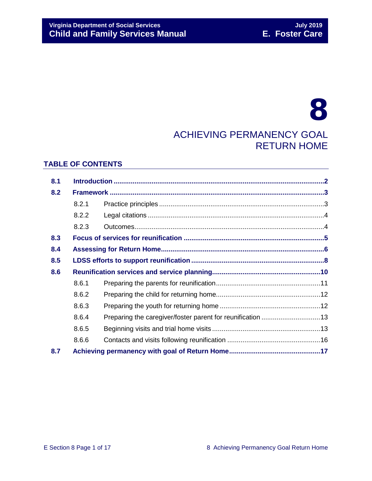# 8 ACHIEVING PERMANENCY GOAL RETURN HOME

## **TABLE OF CONTENTS**

| 8.1 |       |                                                            |  |
|-----|-------|------------------------------------------------------------|--|
| 8.2 |       |                                                            |  |
|     | 8.2.1 |                                                            |  |
|     | 8.2.2 |                                                            |  |
|     | 8.2.3 |                                                            |  |
| 8.3 |       |                                                            |  |
| 8.4 |       |                                                            |  |
| 8.5 |       |                                                            |  |
| 8.6 |       |                                                            |  |
|     | 8.6.1 |                                                            |  |
|     | 8.6.2 |                                                            |  |
|     | 8.6.3 |                                                            |  |
|     | 8.6.4 | Preparing the caregiver/foster parent for reunification 13 |  |
|     | 8.6.5 |                                                            |  |
|     | 8.6.6 |                                                            |  |
| 8.7 |       |                                                            |  |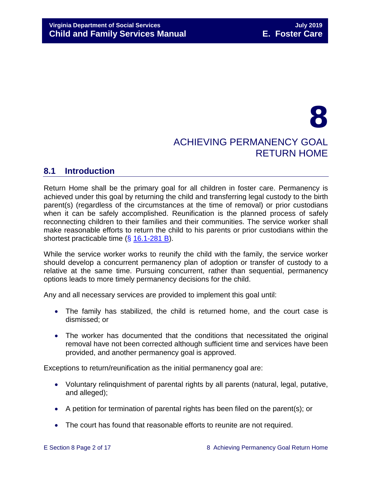# 8 ACHIEVING PERMANENCY GOAL RETURN HOME

# <span id="page-1-0"></span>**8.1 Introduction**

Return Home shall be the primary goal for all children in foster care. Permanency is achieved under this goal by returning the child and transferring legal custody to the birth parent(s) (regardless of the circumstances at the time of removal) or prior custodians when it can be safely accomplished. Reunification is the planned process of safely reconnecting children to their families and their communities. The service worker shall make reasonable efforts to return the child to his parents or prior custodians within the shortest practicable time (§ [16.1-281 B\)](http://law.lis.virginia.gov/vacode/16.1-281/).

While the service worker works to reunify the child with the family, the service worker should develop a concurrent permanency plan of adoption or transfer of custody to a relative at the same time. Pursuing concurrent, rather than sequential, permanency options leads to more timely permanency decisions for the child.

Any and all necessary services are provided to implement this goal until:

- The family has stabilized, the child is returned home, and the court case is dismissed; or
- The worker has documented that the conditions that necessitated the original removal have not been corrected although sufficient time and services have been provided, and another permanency goal is approved.

Exceptions to return/reunification as the initial permanency goal are:

- Voluntary relinquishment of parental rights by all parents (natural, legal, putative, and alleged);
- A petition for termination of parental rights has been filed on the parent(s); or
- The court has found that reasonable efforts to reunite are not required.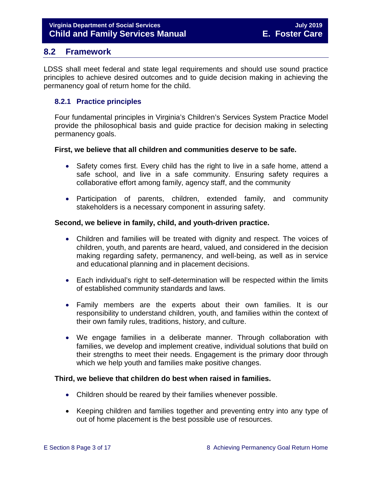# <span id="page-2-0"></span>**8.2 Framework**

LDSS shall meet federal and state legal requirements and should use sound practice principles to achieve desired outcomes and to guide decision making in achieving the permanency goal of return home for the child.

# <span id="page-2-1"></span>**8.2.1 Practice principles**

Four fundamental principles in Virginia's Children's Services System Practice Model provide the philosophical basis and guide practice for decision making in selecting permanency goals.

#### **First, we believe that all children and communities deserve to be safe.**

- Safety comes first. Every child has the right to live in a safe home, attend a safe school, and live in a safe community. Ensuring safety requires a collaborative effort among family, agency staff, and the community
- Participation of parents, children, extended family, and community stakeholders is a necessary component in assuring safety.

#### **Second, we believe in family, child, and youth-driven practice.**

- Children and families will be treated with dignity and respect. The voices of children, youth, and parents are heard, valued, and considered in the decision making regarding safety, permanency, and well-being, as well as in service and educational planning and in placement decisions.
- Each individual's right to self-determination will be respected within the limits of established community standards and laws.
- Family members are the experts about their own families. It is our responsibility to understand children, youth, and families within the context of their own family rules, traditions, history, and culture.
- We engage families in a deliberate manner. Through collaboration with families, we develop and implement creative, individual solutions that build on their strengths to meet their needs. Engagement is the primary door through which we help youth and families make positive changes.

## **Third, we believe that children do best when raised in families.**

- Children should be reared by their families whenever possible.
- Keeping children and families together and preventing entry into any type of out of home placement is the best possible use of resources.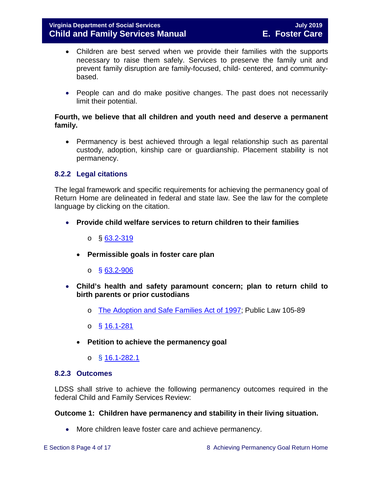- Children are best served when we provide their families with the supports necessary to raise them safely. Services to preserve the family unit and prevent family disruption are family-focused, child- centered, and communitybased.
- People can and do make positive changes. The past does not necessarily limit their potential.

#### **Fourth, we believe that all children and youth need and deserve a permanent family.**

• Permanency is best achieved through a legal relationship such as parental custody, adoption, kinship care or guardianship. Placement stability is not permanency.

## <span id="page-3-0"></span>**8.2.2 Legal citations**

The legal framework and specific requirements for achieving the permanency goal of Return Home are delineated in federal and state law. See the law for the complete language by clicking on the citation.

- **Provide child welfare services to return children to their families**
	- $\circ$  § [63.2-319](http://law.lis.virginia.gov/vacode/63.2-319/)
	- **Permissible goals in foster care plan** 
		- $\circ$  § [63.2-906](http://law.lis.virginia.gov/vacode/63.2-906/)
- **Child's health and safety paramount concern; plan to return child to birth parents or prior custodians**
	- o [The Adoption and Safe Families Act of 1997;](http://www.nicwa.org/law/asfa/ASFAII.pdf) Public Law 105-89
	- o § [16.1-281](http://law.lis.virginia.gov/vacode/16.1-281/)
	- **Petition to achieve the permanency goal** 
		- o § [16.1-282.1](http://law.lis.virginia.gov/vacode/16.1-282.1/)

#### <span id="page-3-1"></span>**8.2.3 Outcomes**

LDSS shall strive to achieve the following permanency outcomes required in the federal Child and Family Services Review:

#### **Outcome 1: Children have permanency and stability in their living situation.**

• More children leave foster care and achieve permanency.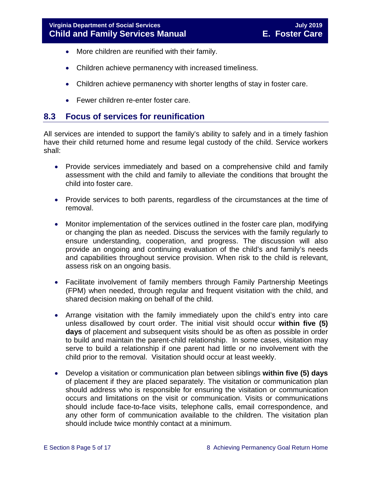- More children are reunified with their family.
- Children achieve permanency with increased timeliness.
- Children achieve permanency with shorter lengths of stay in foster care.
- Fewer children re-enter foster care.

# <span id="page-4-0"></span>**8.3 Focus of services for reunification**

All services are intended to support the family's ability to safely and in a timely fashion have their child returned home and resume legal custody of the child. Service workers shall:

- Provide services immediately and based on a comprehensive child and family assessment with the child and family to alleviate the conditions that brought the child into foster care.
- Provide services to both parents, regardless of the circumstances at the time of removal.
- Monitor implementation of the services outlined in the foster care plan, modifying or changing the plan as needed. Discuss the services with the family regularly to ensure understanding, cooperation, and progress. The discussion will also provide an ongoing and continuing evaluation of the child's and family's needs and capabilities throughout service provision. When risk to the child is relevant, assess risk on an ongoing basis.
- Facilitate involvement of family members through Family Partnership Meetings (FPM) when needed, through regular and frequent visitation with the child, and shared decision making on behalf of the child.
- Arrange visitation with the family immediately upon the child's entry into care unless disallowed by court order. The initial visit should occur **within five (5) days** of placement and subsequent visits should be as often as possible in order to build and maintain the parent-child relationship. In some cases, visitation may serve to build a relationship if one parent had little or no involvement with the child prior to the removal. Visitation should occur at least weekly.
- Develop a visitation or communication plan between siblings **within five (5) days** of placement if they are placed separately. The visitation or communication plan should address who is responsible for ensuring the visitation or communication occurs and limitations on the visit or communication. Visits or communications should include face-to-face visits, telephone calls, email correspondence, and any other form of communication available to the children. The visitation plan should include twice monthly contact at a minimum.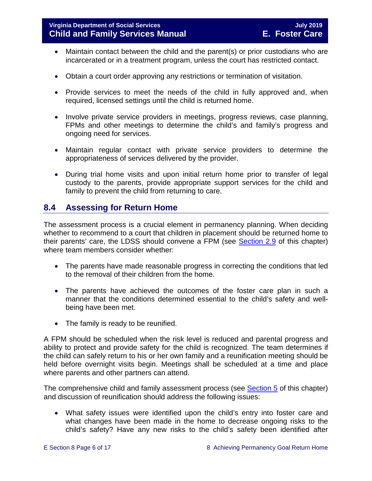- Maintain contact between the child and the parent(s) or prior custodians who are incarcerated or in a treatment program, unless the court has restricted contact.
- Obtain a court order approving any restrictions or termination of visitation.
- Provide services to meet the needs of the child in fully approved and, when required, licensed settings until the child is returned home.
- Involve private service providers in meetings, progress reviews, case planning, FPMs and other meetings to determine the child's and family's progress and ongoing need for services.
- Maintain regular contact with private service providers to determine the appropriateness of services delivered by the provider.
- During trial home visits and upon initial return home prior to transfer of legal custody to the parents, provide appropriate support services for the child and family to prevent the child from returning to care.

# <span id="page-5-0"></span>**8.4 Assessing for Return Home**

The assessment process is a crucial element in permanency planning. When deciding whether to recommend to a court that children in placement should be returned home to their parents' care, the LDSS should convene a FPM (see [Section 2.9](https://fusion.dss.virginia.gov/Portals/%5bdfs%5d/Files/DFS%20Manuals/Foster%20Care%20Manuals/Foster%20Care%20Manual%2007-2019/section_2_engaging_the_child_family_and_significant_adults.pdf#page=19) of this chapter) where team members consider whether:

- The parents have made reasonable progress in correcting the conditions that led to the removal of their children from the home.
- The parents have achieved the outcomes of the foster care plan in such a manner that the conditions determined essential to the child's safety and wellbeing have been met.
- The family is ready to be reunified.

A FPM should be scheduled when the risk level is reduced and parental progress and ability to protect and provide safety for the child is recognized. The team determines if the child can safely return to his or her own family and a reunification meeting should be held before overnight visits begin. Meetings shall be scheduled at a time and place where parents and other partners can attend.

The comprehensive child and family assessment process (see [Section 5](https://fusion.dss.virginia.gov/Portals/%5bdfs%5d/Files/DFS%20Manuals/Foster%20Care%20Manuals/Foster%20Care%20Manual%2007-2019/section_5_conducting_child_and_family_assessment.pdf) of this chapter) and discussion of reunification should address the following issues:

• What safety issues were identified upon the child's entry into foster care and what changes have been made in the home to decrease ongoing risks to the child's safety? Have any new risks to the child's safety been identified after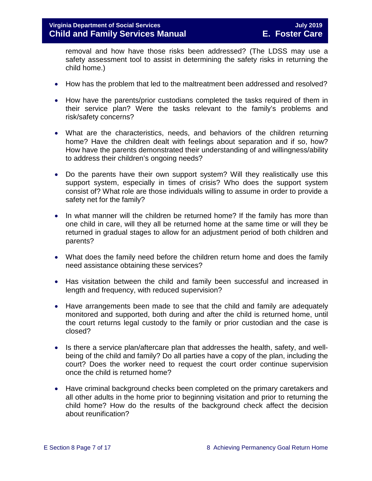removal and how have those risks been addressed? (The LDSS may use a safety assessment tool to assist in determining the safety risks in returning the child home.)

- How has the problem that led to the maltreatment been addressed and resolved?
- How have the parents/prior custodians completed the tasks required of them in their service plan? Were the tasks relevant to the family's problems and risk/safety concerns?
- What are the characteristics, needs, and behaviors of the children returning home? Have the children dealt with feelings about separation and if so, how? How have the parents demonstrated their understanding of and willingness/ability to address their children's ongoing needs?
- Do the parents have their own support system? Will they realistically use this support system, especially in times of crisis? Who does the support system consist of? What role are those individuals willing to assume in order to provide a safety net for the family?
- In what manner will the children be returned home? If the family has more than one child in care, will they all be returned home at the same time or will they be returned in gradual stages to allow for an adjustment period of both children and parents?
- What does the family need before the children return home and does the family need assistance obtaining these services?
- Has visitation between the child and family been successful and increased in length and frequency, with reduced supervision?
- Have arrangements been made to see that the child and family are adequately monitored and supported, both during and after the child is returned home, until the court returns legal custody to the family or prior custodian and the case is closed?
- Is there a service plan/aftercare plan that addresses the health, safety, and wellbeing of the child and family? Do all parties have a copy of the plan, including the court? Does the worker need to request the court order continue supervision once the child is returned home?
- Have criminal background checks been completed on the primary caretakers and all other adults in the home prior to beginning visitation and prior to returning the child home? How do the results of the background check affect the decision about reunification?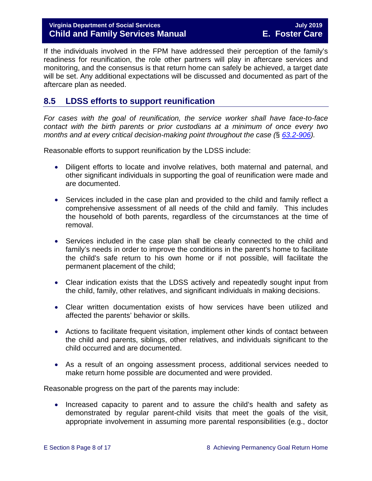# **Virginia Department of Social Services July 2019 Child and Family Services Manual E. Foster Care**

If the individuals involved in the FPM have addressed their perception of the family's readiness for reunification, the role other partners will play in aftercare services and monitoring, and the consensus is that return home can safely be achieved, a target date will be set. Any additional expectations will be discussed and documented as part of the aftercare plan as needed.

# <span id="page-7-0"></span>**8.5 LDSS efforts to support reunification**

*For cases with the goal of reunification, the service worker shall have face-to-face contact with the birth parents or prior custodians at a minimum of once every two months and at every critical decision-making point throughout the case (*§ *[63.2-906\)](https://law.lis.virginia.gov/vacode/63.2-906).*

Reasonable efforts to support reunification by the LDSS include:

- Diligent efforts to locate and involve relatives, both maternal and paternal, and other significant individuals in supporting the goal of reunification were made and are documented.
- Services included in the case plan and provided to the child and family reflect a comprehensive assessment of all needs of the child and family. This includes the household of both parents, regardless of the circumstances at the time of removal.
- Services included in the case plan shall be clearly connected to the child and family's needs in order to improve the conditions in the parent's home to facilitate the child's safe return to his own home or if not possible, will facilitate the permanent placement of the child;
- Clear indication exists that the LDSS actively and repeatedly sought input from the child, family, other relatives, and significant individuals in making decisions.
- Clear written documentation exists of how services have been utilized and affected the parents' behavior or skills.
- Actions to facilitate frequent visitation, implement other kinds of contact between the child and parents, siblings, other relatives, and individuals significant to the child occurred and are documented.
- As a result of an ongoing assessment process, additional services needed to make return home possible are documented and were provided.

Reasonable progress on the part of the parents may include:

• Increased capacity to parent and to assure the child's health and safety as demonstrated by regular parent-child visits that meet the goals of the visit, appropriate involvement in assuming more parental responsibilities (e.g., doctor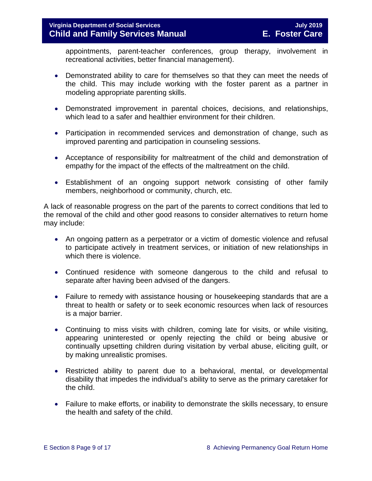# **Virginia Department of Social Services July 2019 Child and Family Services Manual E. Foster Care**

appointments, parent-teacher conferences, group therapy, involvement in recreational activities, better financial management).

- Demonstrated ability to care for themselves so that they can meet the needs of the child. This may include working with the foster parent as a partner in modeling appropriate parenting skills.
- Demonstrated improvement in parental choices, decisions, and relationships, which lead to a safer and healthier environment for their children.
- Participation in recommended services and demonstration of change, such as improved parenting and participation in counseling sessions.
- Acceptance of responsibility for maltreatment of the child and demonstration of empathy for the impact of the effects of the maltreatment on the child.
- Establishment of an ongoing support network consisting of other family members, neighborhood or community, church, etc.

A lack of reasonable progress on the part of the parents to correct conditions that led to the removal of the child and other good reasons to consider alternatives to return home may include:

- An ongoing pattern as a perpetrator or a victim of domestic violence and refusal to participate actively in treatment services, or initiation of new relationships in which there is violence.
- Continued residence with someone dangerous to the child and refusal to separate after having been advised of the dangers.
- Failure to remedy with assistance housing or housekeeping standards that are a threat to health or safety or to seek economic resources when lack of resources is a major barrier.
- Continuing to miss visits with children, coming late for visits, or while visiting, appearing uninterested or openly rejecting the child or being abusive or continually upsetting children during visitation by verbal abuse, eliciting guilt, or by making unrealistic promises.
- Restricted ability to parent due to a behavioral, mental, or developmental disability that impedes the individual's ability to serve as the primary caretaker for the child.
- Failure to make efforts, or inability to demonstrate the skills necessary, to ensure the health and safety of the child.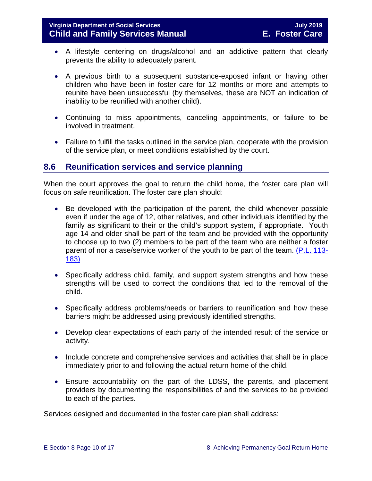- A lifestyle centering on drugs/alcohol and an addictive pattern that clearly prevents the ability to adequately parent.
- A previous birth to a subsequent substance-exposed infant or having other children who have been in foster care for 12 months or more and attempts to reunite have been unsuccessful (by themselves, these are NOT an indication of inability to be reunified with another child).
- Continuing to miss appointments, canceling appointments, or failure to be involved in treatment.
- Failure to fulfill the tasks outlined in the service plan, cooperate with the provision of the service plan, or meet conditions established by the court.

# <span id="page-9-0"></span>**8.6 Reunification services and service planning**

When the court approves the goal to return the child home, the foster care plan will focus on safe reunification. The foster care plan should:

- Be developed with the participation of the parent, the child whenever possible even if under the age of 12, other relatives, and other individuals identified by the family as significant to their or the child's support system, if appropriate. Youth age 14 and older shall be part of the team and be provided with the opportunity to choose up to two (2) members to be part of the team who are neither a foster parent of nor a case/service worker of the youth to be part of the team. [\(P.L. 113-](https://www.congress.gov/113/plaws/publ183/PLAW-113publ183.pdf) [183\)](https://www.congress.gov/113/plaws/publ183/PLAW-113publ183.pdf)
- Specifically address child, family, and support system strengths and how these strengths will be used to correct the conditions that led to the removal of the child.
- Specifically address problems/needs or barriers to reunification and how these barriers might be addressed using previously identified strengths.
- Develop clear expectations of each party of the intended result of the service or activity.
- Include concrete and comprehensive services and activities that shall be in place immediately prior to and following the actual return home of the child.
- Ensure accountability on the part of the LDSS, the parents, and placement providers by documenting the responsibilities of and the services to be provided to each of the parties.

Services designed and documented in the foster care plan shall address: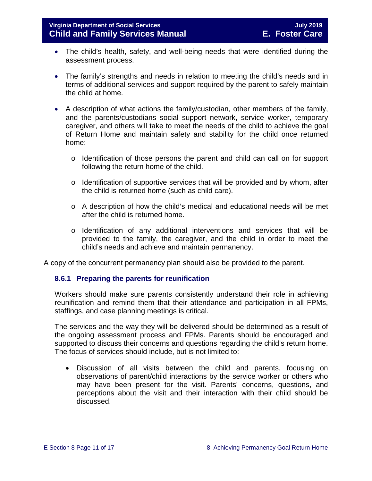- The child's health, safety, and well-being needs that were identified during the assessment process.
- The family's strengths and needs in relation to meeting the child's needs and in terms of additional services and support required by the parent to safely maintain the child at home.
- A description of what actions the family/custodian, other members of the family, and the parents/custodians social support network, service worker, temporary caregiver, and others will take to meet the needs of the child to achieve the goal of Return Home and maintain safety and stability for the child once returned home:
	- o Identification of those persons the parent and child can call on for support following the return home of the child.
	- o Identification of supportive services that will be provided and by whom, after the child is returned home (such as child care).
	- o A description of how the child's medical and educational needs will be met after the child is returned home.
	- o Identification of any additional interventions and services that will be provided to the family, the caregiver, and the child in order to meet the child's needs and achieve and maintain permanency.

A copy of the concurrent permanency plan should also be provided to the parent.

## <span id="page-10-0"></span>**8.6.1 Preparing the parents for reunification**

Workers should make sure parents consistently understand their role in achieving reunification and remind them that their attendance and participation in all FPMs, staffings, and case planning meetings is critical.

The services and the way they will be delivered should be determined as a result of the ongoing assessment process and FPMs. Parents should be encouraged and supported to discuss their concerns and questions regarding the child's return home. The focus of services should include, but is not limited to:

• Discussion of all visits between the child and parents, focusing on observations of parent/child interactions by the service worker or others who may have been present for the visit. Parents' concerns, questions, and perceptions about the visit and their interaction with their child should be discussed.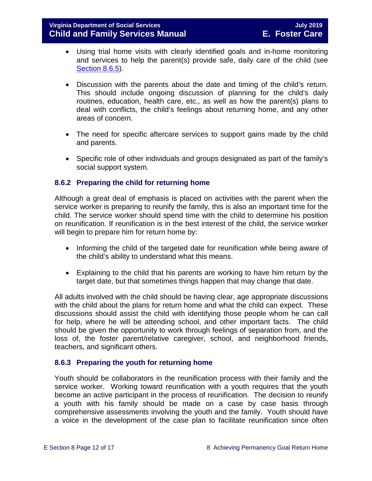- Using trial home visits with clearly identified goals and in-home monitoring and services to help the parent(s) provide safe, daily care of the child (see [Section](#page-12-1) 8.6.5).
- Discussion with the parents about the date and timing of the child's return. This should include ongoing discussion of planning for the child's daily routines, education, health care, etc., as well as how the parent(s) plans to deal with conflicts, the child's feelings about returning home, and any other areas of concern.
- The need for specific aftercare services to support gains made by the child and parents.
- Specific role of other individuals and groups designated as part of the family's social support system.

# <span id="page-11-0"></span>**8.6.2 Preparing the child for returning home**

Although a great deal of emphasis is placed on activities with the parent when the service worker is preparing to reunify the family, this is also an important time for the child. The service worker should spend time with the child to determine his position on reunification. If reunification is in the best interest of the child, the service worker will begin to prepare him for return home by:

- Informing the child of the targeted date for reunification while being aware of the child's ability to understand what this means.
- Explaining to the child that his parents are working to have him return by the target date, but that sometimes things happen that may change that date.

All adults involved with the child should be having clear, age appropriate discussions with the child about the plans for return home and what the child can expect. These discussions should assist the child with identifying those people whom he can call for help, where he will be attending school, and other important facts. The child should be given the opportunity to work through feelings of separation from, and the loss of, the foster parent/relative caregiver, school, and neighborhood friends, teachers, and significant others.

## <span id="page-11-1"></span>**8.6.3 Preparing the youth for returning home**

Youth should be collaborators in the reunification process with their family and the service worker. Working toward reunification with a youth requires that the youth become an active participant in the process of reunification. The decision to reunify a youth with his family should be made on a case by case basis through comprehensive assessments involving the youth and the family. Youth should have a voice in the development of the case plan to facilitate reunification since often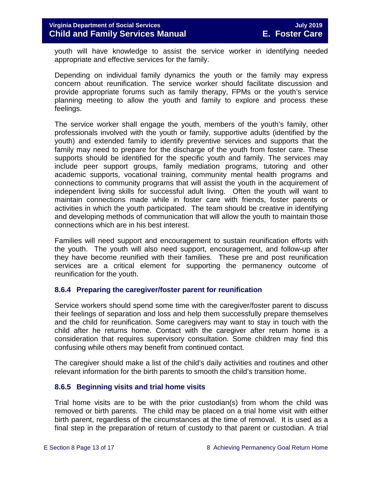youth will have knowledge to assist the service worker in identifying needed appropriate and effective services for the family.

Depending on individual family dynamics the youth or the family may express concern about reunification. The service worker should facilitate discussion and provide appropriate forums such as family therapy, FPMs or the youth's service planning meeting to allow the youth and family to explore and process these feelings.

The service worker shall engage the youth, members of the youth's family, other professionals involved with the youth or family, supportive adults (identified by the youth) and extended family to identify preventive services and supports that the family may need to prepare for the discharge of the youth from foster care. These supports should be identified for the specific youth and family. The services may include peer support groups, family mediation programs, tutoring and other academic supports, vocational training, community mental health programs and connections to community programs that will assist the youth in the acquirement of independent living skills for successful adult living. Often the youth will want to maintain connections made while in foster care with friends, foster parents or activities in which the youth participated. The team should be creative in identifying and developing methods of communication that will allow the youth to maintain those connections which are in his best interest.

Families will need support and encouragement to sustain reunification efforts with the youth. The youth will also need support, encouragement, and follow-up after they have become reunified with their families. These pre and post reunification services are a critical element for supporting the permanency outcome of reunification for the youth.

## <span id="page-12-0"></span>**8.6.4 Preparing the caregiver/foster parent for reunification**

Service workers should spend some time with the caregiver/foster parent to discuss their feelings of separation and loss and help them successfully prepare themselves and the child for reunification. Some caregivers may want to stay in touch with the child after he returns home. Contact with the caregiver after return home is a consideration that requires supervisory consultation. Some children may find this confusing while others may benefit from continued contact.

The caregiver should make a list of the child's daily activities and routines and other relevant information for the birth parents to smooth the child's transition home.

## <span id="page-12-1"></span>**8.6.5 Beginning visits and trial home visits**

Trial home visits are to be with the prior custodian(s) from whom the child was removed or birth parents. The child may be placed on a trial home visit with either birth parent, regardless of the circumstances at the time of removal. It is used as a final step in the preparation of return of custody to that parent or custodian. A trial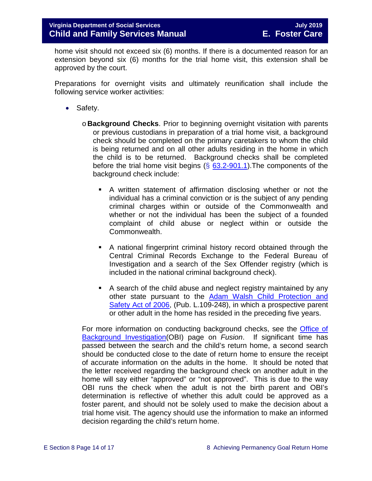home visit should not exceed six (6) months. If there is a documented reason for an extension beyond six (6) months for the trial home visit, this extension shall be approved by the court.

Preparations for overnight visits and ultimately reunification shall include the following service worker activities:

- Safety.
	- o **Background Checks**. Prior to beginning overnight visitation with parents or previous custodians in preparation of a trial home visit, a background check should be completed on the primary caretakers to whom the child is being returned and on all other adults residing in the home in which the child is to be returned. Background checks shall be completed before the trial home visit begins  $(\S$  [63.2-901.1\)](http://law.lis.virginia.gov/vacode/63.2-901.1/). The components of the background check include:
		- A written statement of affirmation disclosing whether or not the individual has a criminal conviction or is the subject of any pending criminal charges within or outside of the Commonwealth and whether or not the individual has been the subject of a founded complaint of child abuse or neglect within or outside the Commonwealth.
		- A national fingerprint criminal history record obtained through the Central Criminal Records Exchange to the Federal Bureau of Investigation and a search of the Sex Offender registry (which is included in the national criminal background check).
		- A search of the child abuse and neglect registry maintained by any other state pursuant to the [Adam Walsh Child Protection and](http://www.gpo.gov/fdsys/pkg/PLAW-109publ248/html/PLAW-109publ248.htm)  [Safety Act of 2006,](http://www.gpo.gov/fdsys/pkg/PLAW-109publ248/html/PLAW-109publ248.htm) (Pub. L.109-248), in which a prospective parent or other adult in the home has resided in the preceding five years.

For more information on conducting background checks, see the [Office of](https://fusion.dss.virginia.gov/lp/LP-Home/OFFICE-OF-BACKGROUND-INVESTIGATIONS)  [Background Investigation\(](https://fusion.dss.virginia.gov/lp/LP-Home/OFFICE-OF-BACKGROUND-INVESTIGATIONS)OBI) page on *Fusion*. If significant time has passed between the search and the child's return home, a second search should be conducted close to the date of return home to ensure the receipt of accurate information on the adults in the home. It should be noted that the letter received regarding the background check on another adult in the home will say either "approved" or "not approved". This is due to the way OBI runs the check when the adult is not the birth parent and OBI's determination is reflective of whether this adult could be approved as a foster parent, and should not be solely used to make the decision about a trial home visit. The agency should use the information to make an informed decision regarding the child's return home.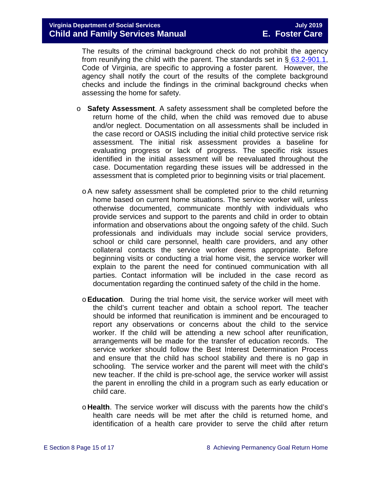The results of the criminal background check do not prohibit the agency from reunifying the child with the parent. The standards set in  $\S$  [63.2-901.1,](http://law.lis.virginia.gov/vacode/63.2-901.1/) Code of Virginia, are specific to approving a foster parent. However, the agency shall notify the court of the results of the complete background checks and include the findings in the criminal background checks when assessing the home for safety.

- o **Safety Assessment**. A safety assessment shall be completed before the return home of the child, when the child was removed due to abuse and/or neglect. Documentation on all assessments shall be included in the case record or OASIS including the initial child protective service risk assessment. The initial risk assessment provides a baseline for evaluating progress or lack of progress. The specific risk issues identified in the initial assessment will be reevaluated throughout the case. Documentation regarding these issues will be addressed in the assessment that is completed prior to beginning visits or trial placement.
	- oA new safety assessment shall be completed prior to the child returning home based on current home situations. The service worker will, unless otherwise documented, communicate monthly with individuals who provide services and support to the parents and child in order to obtain information and observations about the ongoing safety of the child. Such professionals and individuals may include social service providers, school or child care personnel, health care providers, and any other collateral contacts the service worker deems appropriate. Before beginning visits or conducting a trial home visit, the service worker will explain to the parent the need for continued communication with all parties. Contact information will be included in the case record as documentation regarding the continued safety of the child in the home.
	- o**Education**. During the trial home visit, the service worker will meet with the child's current teacher and obtain a school report. The teacher should be informed that reunification is imminent and be encouraged to report any observations or concerns about the child to the service worker. If the child will be attending a new school after reunification, arrangements will be made for the transfer of education records. The service worker should follow the Best Interest Determination Process and ensure that the child has school stability and there is no gap in schooling. The service worker and the parent will meet with the child's new teacher. If the child is pre-school age, the service worker will assist the parent in enrolling the child in a program such as early education or child care.
	- o **Health**. The service worker will discuss with the parents how the child's health care needs will be met after the child is returned home, and identification of a health care provider to serve the child after return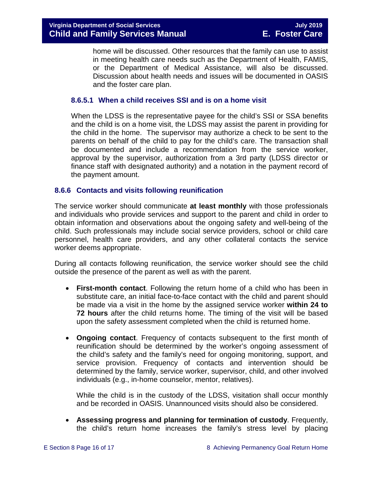home will be discussed. Other resources that the family can use to assist in meeting health care needs such as the Department of Health, FAMIS, or the Department of Medical Assistance, will also be discussed. Discussion about health needs and issues will be documented in OASIS and the foster care plan.

# **8.6.5.1 When a child receives SSI and is on a home visit**

When the LDSS is the representative payee for the child's SSI or SSA benefits and the child is on a home visit, the LDSS may assist the parent in providing for the child in the home. The supervisor may authorize a check to be sent to the parents on behalf of the child to pay for the child's care. The transaction shall be documented and include a recommendation from the service worker, approval by the supervisor, authorization from a 3rd party (LDSS director or finance staff with designated authority) and a notation in the payment record of the payment amount.

#### <span id="page-15-0"></span>**8.6.6 Contacts and visits following reunification**

The service worker should communicate **at least monthly** with those professionals and individuals who provide services and support to the parent and child in order to obtain information and observations about the ongoing safety and well-being of the child. Such professionals may include social service providers, school or child care personnel, health care providers, and any other collateral contacts the service worker deems appropriate.

During all contacts following reunification, the service worker should see the child outside the presence of the parent as well as with the parent.

- **First-month contact**. Following the return home of a child who has been in substitute care, an initial face-to-face contact with the child and parent should be made via a visit in the home by the assigned service worker **within 24 to 72 hours** after the child returns home. The timing of the visit will be based upon the safety assessment completed when the child is returned home.
- **Ongoing contact**. Frequency of contacts subsequent to the first month of reunification should be determined by the worker's ongoing assessment of the child's safety and the family's need for ongoing monitoring, support, and service provision. Frequency of contacts and intervention should be determined by the family, service worker, supervisor, child, and other involved individuals (e.g., in-home counselor, mentor, relatives).

While the child is in the custody of the LDSS, visitation shall occur monthly and be recorded in OASIS. Unannounced visits should also be considered.

• **Assessing progress and planning for termination of custody**. Frequently, the child's return home increases the family's stress level by placing